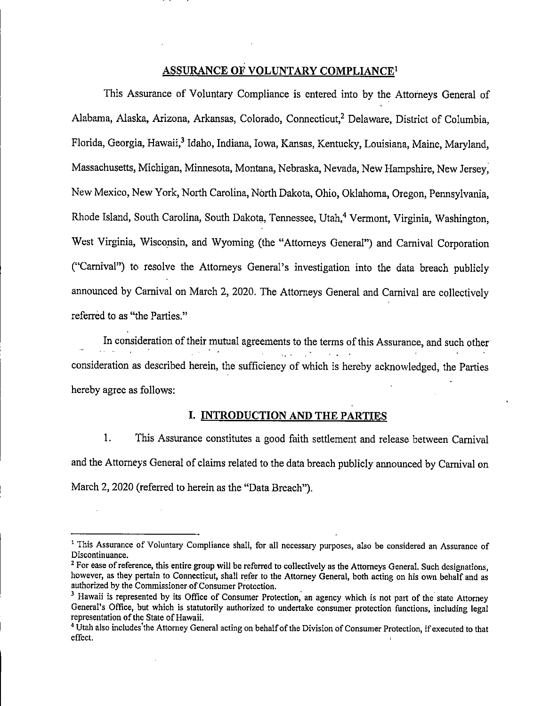## ASSURANCE OF VOLUNTARY COMPLIANCE<sup>1</sup>

This Assurance of Voluntary Compliance is entered into by the Attorneys General of Alabama, Alaska, Arizona, Arkansas, Colorado, Connecticut,<sup>2</sup> Delaware, District of Columbia, Florida, Georgia, Hawaii,<sup>3</sup> Idaho, Indiana, Iowa, Kansas, Kentucky, Louisiana, Maine, Maryland, Massachusetts, Michigan, Minnesota, Montana, Nebraska, Nevada, New Hampshire, New Jersey, New Mexico, New York, North Carolina, North Dakota, Ohio, Oklahoma, Oregon, Pennsylvania, Rhode Island, South Carolina, South Dakota, Tennessee, Utah,<sup>4</sup> Vermont, Virginia, Washington, West Virginia, Wiseonsin, and Wyoming (the "Attorneys General") and Carnival Corporation ("Carnival") to resolve the Attorneys General's investigation into the data breach publicly announced by Carnival on March 2, 2020. The Attorneys General and Carnival are collectively referred to as "the Parties."

In consideration of their mutual agreements to the terms of this Assurance, and such other  $\mathcal{L}_{\text{max}}$  and  $\mathcal{L}_{\text{max}}$ consideration as described herein, the sufficiency of which is hereby acknowledged, the Parties hereby agree as follows:

## I. INTRODUCTION AND THE PARTIES

1. This Assurance constitutes a good faith settlement and release between Carnival and the Attorneys General of claims related to the data breach publicly announced by Carnival on March 2, 2020 (referred to herein as the "Data Breach").

<sup>&</sup>lt;sup>1</sup> This Assurance of Voluntary Compliance shall, for all necessary purposes, also be considered an Assurance of Discontinuance.

<sup>&</sup>lt;sup>2</sup> For ease of reference, this entire group will be referred to collectively as the Attorneys General. Such designations, however, as they pertain to Connecticut, shall refer to the Attorney General, both acting on his own behalf and as authorized by the Commissioner of Consumer Protection.

<sup>&</sup>lt;sup>3</sup> Hawaii is represented by its Office of Consumer Protection, an agency which is not part of the state Attorney General's Office, but which is statutorily authorized to undertake consumer protection functions, including legal representation of the State of Hawaii.

<sup>&</sup>lt;sup>4</sup> Utah also includes'the Attorney General acting on behalf of the Division of Consumer Protection, if executed to that effect.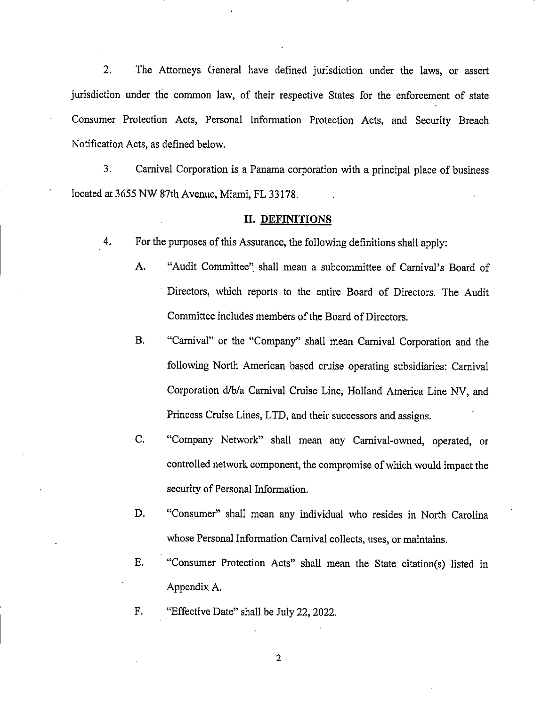2. The Attorneys General have defined jurisdiction under the laws, or assert jurisdiction under the common law, of their respective States for the enforcement of state Consumer Protection Acts, Personal Information Protection Acts, and Security Breach Notification Acts, as defined below.

3. Carnival Corporation is a Panama corporation with a principal place of business located at 3655 NW 87th Avenue, Miami, FL 33178.

#### II. DEFINITIONS

- 4. For the purposes of this Assurance, the following definitions shall apply:
	- A. "Audit Committee" shall mean a subcommittee of Carnival's Board of Directors, which reports to the entire Board of Directors. The Audit Committee includes members of the Board of Directors.
	- B. "Carnival" or the "Company" shall mean Carnival Corporation and the following North American based cruise operating subsidiaries: Carnival Corporation d/b/a Carnival Cruise Line, Holland America Line NV, and Princess Cruise Lines, LTD, and their successors and assigns.
	- C. "Company Network" shall mean any Carnival-owned, operated, or eontrolled network component, the compromise of which would impact the security of Personal Information.
	- D. "Consumer" shall mean any individual who resides in North Carolina whose Personal Information Carnival collects, uses, or maintains.
	- E. "Consumer Protection Acts" shall mean the State citation(s) listed in Appendix A.
	- F. "Effective Date" shall be July 22, 2022.

 $\overline{2}$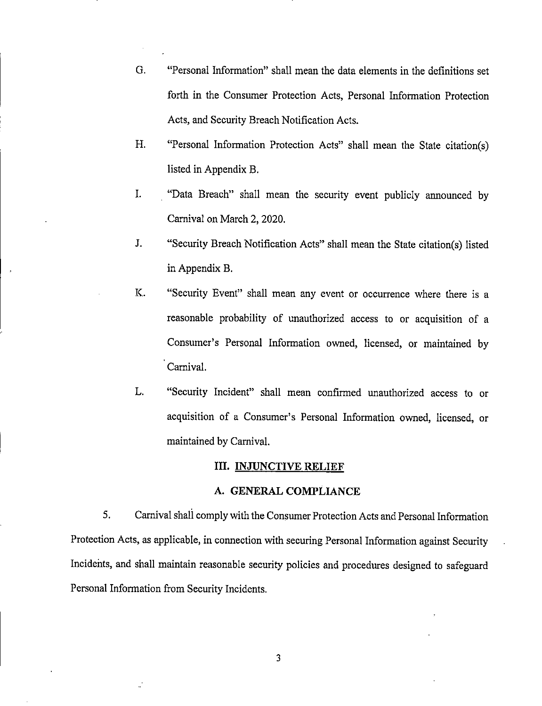- G. "Personal Information" shall mean the data elements in the definitions set forth in the Consumer Protection Acts, Personal Information Protection Acts, and Security Breach Notification Acts.
- H. "Personal Information Protection Acts" shall mean the State citation(s) listed in Appendix B.
- I. "Data Breach" shall mean the security event publicly announced by Carnival on March 2, 2020.
- J. "Security Breach Notification Acts" shall mean the State citation(s) listed in Appendix B.
- K. "Security Event" shall mean any event or occurrence where there is a reasonable probability of unauthorized access to or acquisition of a Consumer's Personal Information owned, licensed, or maintained by Carnival.
- L. "Security Incident" shall mean confirmed unauthorized access to or acquisition of a Consumer's Personal Information owned, licensed, or maintained by Carnival.

#### in. INJUNCTIVE RELIEF

## A. GENERAL COMPLIANCE

5. Carnival shall comply with the Consumer Protection Acts and Personal Information Protection Acts, as applicable, in connection with securing Personal Information against Security Incidents, and shall maintain reasonable security policies and procedures designed to safeguard Personal Information from Security Incidents.

 $\overline{3}$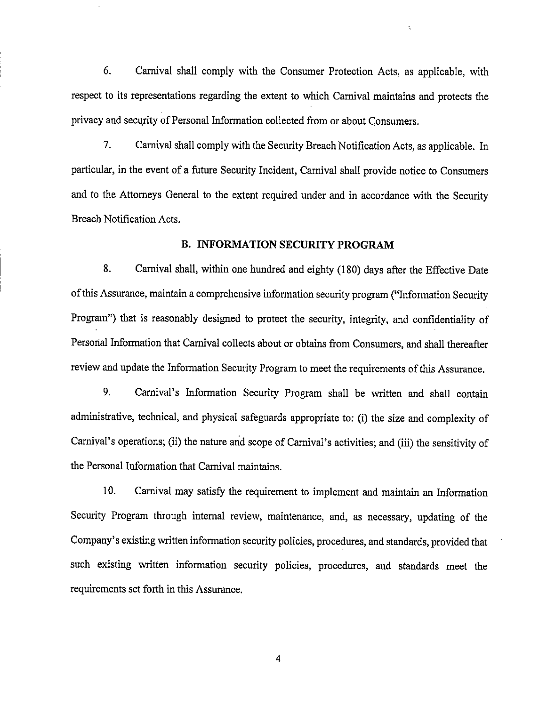6. Carnival shall comply with the Consumer Protection Acts, as applicable, with respect to its representations regarding the extent to which Carnival maintains and protects the privacy and security of Personal Information collected from or about Consumers.

 $\bar{z}_i$ 

7. Carnival shall comply with the Security Breach Notification Acts, as applicable. In particular, in the event of a future Security Incident, Carnival shall provide notice to Consumers and to the Attorneys General to the extent required under and in accordance with the Security Breach Notification Acts.

#### B. INFORMATION SECURITY PROGRAM

8. Carnival shall, within one hundred and eighty (180) days after the Effective Date ofthis Assurance, maintain a comprehensive information security program ("Information Security Program") that is reasonably designed to protect the security, integrity, and confidentiality of Personal Information that Carnival collects about or obtains from Consumers, and shall thereafter review and update the Information Security Program to meet the requirements of this Assurance.

9. Carnival's Information Security Program shall be written and shall contain administrative, technical, and physical safeguards appropriate to: (i) the size and complexity of Carnival's operations; (ii) the nature and scope of Carnival's activities; and (iii) the sensitivity of the Personal Information that Carnival maintains.

10. Carnival may satisfy the requirement to implement and maintain an Information Security Program through internal review, maintenance, and, as necessary, updating of the Company's existing written information security policies, procedures, and standards, provided that such existing written information security policies, procedures, and standards meet the requirements set forth in this Assurance.

 $\overline{4}$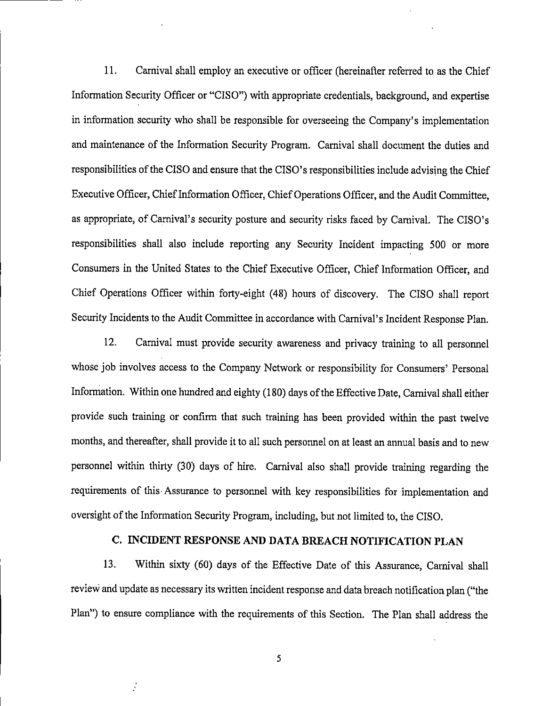11. Carnival shall employ an executive or officer (hereinafter referred to as the Chief Information Security Officer or "CISO") with appropriate credentials, background, and expertise in information security who shall be responsible for overseeing the Company's implementation and maintenance of the Information Security Program. Carnival shall document the duties and responsibilities of the CISO and ensure that the CISO's responsibilities include advising the Chief Executive Officer, Chief Information Officer, Chief Operations Officer, and the Audit Committee, as appropriate, of Carnival's security posture and security risks faced by Carnival. The CISO's responsibilities shall also include reporting any Security Incident impacting 500 or more Consumers in the United States to the Chief Executive Officer, Chief Information Officer, and Chief Operations Officer within forty-eight (48) hours of discovery. The CISO shall report Security Incidents to the Audit Committee in accordance with Carnival's Incident Response Plan.

12. Carnival must provide security awareness and privacy training to all personnel whose job involves access to the Company Network or responsibility for Consumers' Personal Information. Within one hundred and eighty (180) days of the Effective Date, Carnival shall either provide such training or confirm that such training has been provided within the past twelve months, and thereafter, shall provide it to all such personnel on at least an annual basis and to new personnel within thirty (30) days of hire. Carnival also shall provide training regarding the requirements of this-Assurance to personnel with key responsibilities for implementation and oversight of the Information Security Program, including, but not limited to, the CISO.

## C. INCIDENT RESPONSE AND DATA BREACH NOTIFICATION PLAN

13. Within sixty (60) days of the Effective Date of this Assurance, Carnival shall review and update as necessary its written incident response and data breach notification plan ("the Plan") to ensure compliance with the requirements of this Section. The Plan shall address the

5

 $\frac{1}{2}$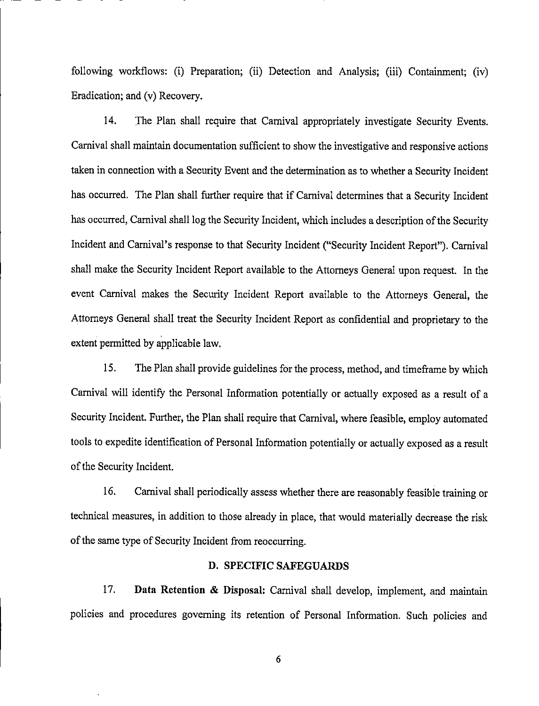following workflows: (i) Preparation; (ii) Detection and Analysis; (iii) Containment; (iv) Eradication; and (v) Recovery.

14. The Plan shall require that Carnival appropriately investigate Security Events. Carnival shall maintain documentation sufficient to show the investigative andresponsive actions taken in connection with a Security Event and the determination as to whether a Security Incident has occurred. The Plan shall further require that if Carnival determines that a Security Incident has occurred, Carnival shall log the Security Incident, which includes a description of the Security Incident and Carnival's response to that Security Incident ("Security Incident Report"). Carnival shall make the Security Incident Report available to the Attorneys General upon request. In the event Carnival makes the Security Incident Report available to the Attorneys General, the Attorneys General shall treat the Security Incident Report as confidential and proprietary to the extent permitted by applicable law.

15. The Plan shall provide guidelines for the process, method, and timeframe by which Carnival will identify the Personal Information potentially or actually exposed as a result of a Security Incident. Further, the Plan shall require that Carnival, where feasible, employ automated tools to expedite identification of Personal Information potentially or actually exposed as a result of the Security Incident.

16. Carnival shall periodically assess whether there are reasonably feasible training or technical measures, in addition to those already in place, thatwould materially decrease the risk of the same type of Security Incident from reoccurring.

#### D. SPECIFIC SAFEGUARDS

17. Data Retention & Disposal: Carnival shall develop, implement, and maintain policies and procedures governing its retention of Personal Information. Such policies and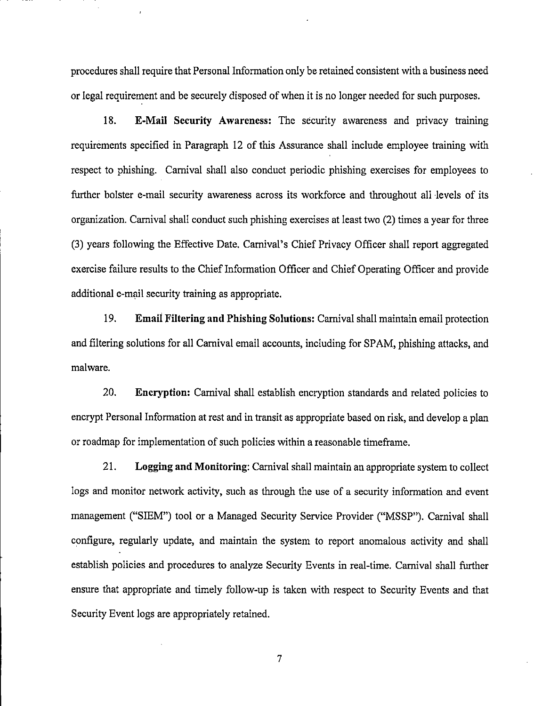procedures shall require that Personal Information only be retained consistent with a business need or legal requirement and be securely disposed ofwhen it is no longer needed for such purposes.

18. E-Mail Security Awareness: The security awareness and privacy training requirements specified in Paragraph 12 of this Assurance shall include employee training with respect to phishing. Carnival shall also conduct periodic phishing exercises for employees to further bolster e-mail security awareness across its workforce and throughout all levels of its organization. Carnival shall conduct such phishing exercises at least two (2) times a year for three (3) years following the Effective Date. Carnival's Chief Privacy Officer shall report aggregated exercise failure results to the Chief Information Officer and Chief Operating Officer and provide additional e-mail security training as appropriate.

19. Email Filtering and Phishing Solutions: Carnival shall maintain email protection and filtering solutions for all Carnival email accounts, including for SPAM, phishing attacks, and malware.

20. Encryption: Carnival shall establish encryption standards and related policies to encrypt Personal Information at rest and in transit as appropriate based on risk, and develop a plan or roadmap for implementation of such policies within a reasonable timeframe.

21. Logging and Monitoring: Camival shall maintain an appropriate system to collect logs and monitor network activity, such as through the use of a security information and event management ("SIEM") tool or a Managed Security Service Provider ("MSSP"). Camival shall configure, regularly update, and maintain the system to report anomalous activity and shall establish policies and procedures to analyze Security Events in real-time. Camival shall further ensure that appropriate and timely follow-up is taken with respect to Security Events and that Security Event logs are appropriately retained.

 $\overline{7}$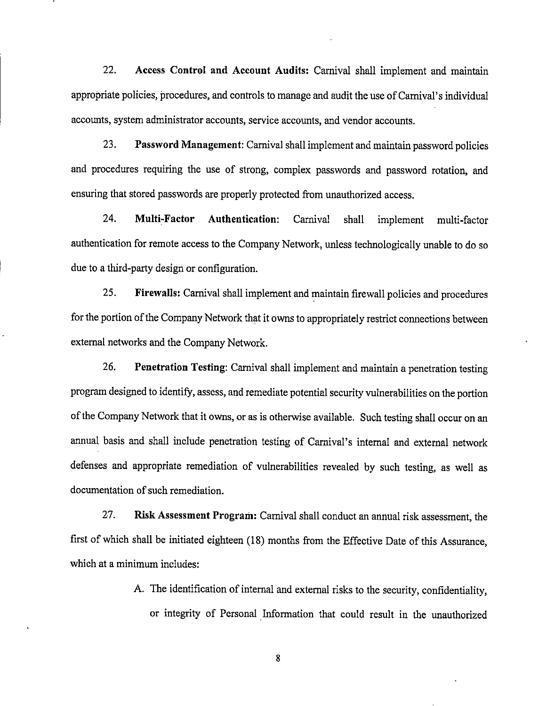22. Access Control and Account Audits: Carnival shall implement and maintain appropriate policies, procedures, and controls to manage and audit the use of Carnival's individual accounts, system administrator accounts, service accounts, and vendor accounts.

23. Password Management: Carnival shall implement and maintain password policies and procedures requiring the use of strong, complex passwords and password rotation, and ensuring that stored passwords are properly protected from unauthorized access.

24. Multi-Factor Authentication: Carnival shall implement multi-factor authentication for remote access to the Company Network, unless technologically unable to do so due to a third-party design or configuration.

25. Firewalls: Carnival shall implement and maintain firewall policies and procedures for the portion of the Company Network that it owns to appropriately restrict connections between external networks and the Company Network.

26. Penetration Testing: Carnival shall implement and maintain a penetration testing program designed to identify, assess, and remediate potential security vulnerabilities on the portion of the Company Network that it owns, or as is otherwise available. Such testing shall occur on an annual basis and shall include penetration testing of Carnival's internal and external network defenses and appropriate remediation of vulnerabilities revealed by such testing, as well as documentation of such remediation.

27. Risk Assessment Program: Carnival shall conductan annual risk assessment, the first of which shall be initiated eighteen (18) months from the Effective Date of this Assurance, which at a minimum includes:

> A. The identification of internal and external risks to the security, confidentiality, or integrity of Personal Information that could result in the unauthorized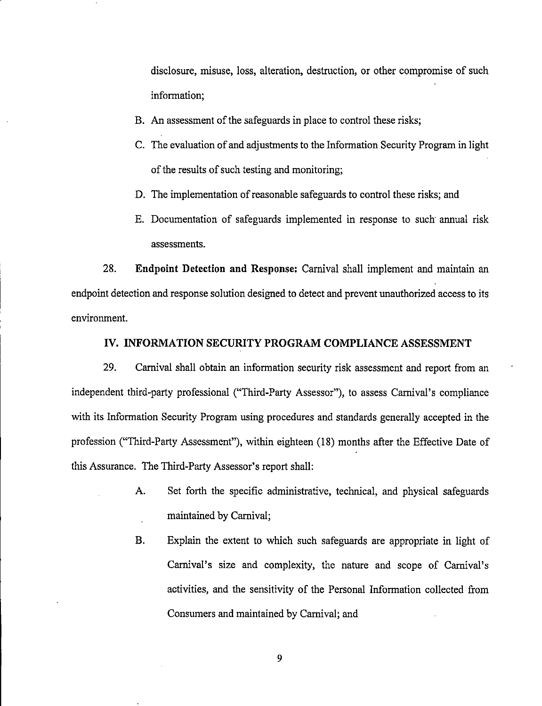disclosure, misuse, loss, alteration, destruction, or other compromise of such information;

- B. An assessment of the safeguards in place to control these risks;
- C. The evaluation of and adjustments to the Information Security Program in light of the results of such testing and monitoring;
- D. The implementation of reasonable safeguards to control these risks; and
- E. Documentation of safeguards implemented in response to such armual risk assessments.

28. Endpoint Detection and Response: Carnival shall implement and maintain an endpoint detection and response solution designed to detect and prevent unauthorized access to its environment.

## IV. INFORMATION SECURITY PROGRAM COMPLIANCE ASSESSMENT

29. Carnival shall obtain an information security risk assessment and report from an independent third-party professional ("Third-Party Assessor"), to assess Carnival's compliance with its Information Security Program using procedures and standards generally accepted in the profession ("Third-Party Assessment"), within eighteen (18) months after the Effective Date of this Assurance. The Third-Party Assessor's report shall:

- A. Set forth the specific administrative, technical, and physical safeguards maintained by Carnival;
- B. Explain the extent to which such safeguards are appropriate in light of Carnival's size and complexity, the nature and scope of Carnival's activities, and the sensitivity of the Personal Information collected from Consumers and maintained by Camival; and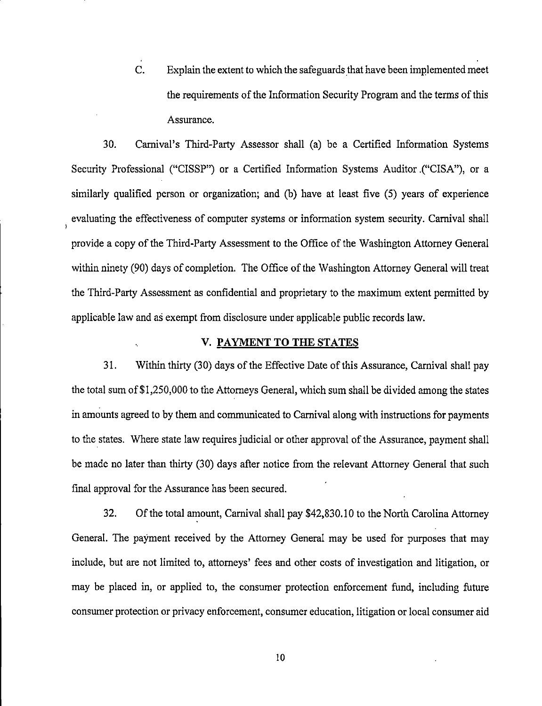C. Explain the extent to which the safeguards that have been implemented meet the requirements of the Information Security Program and the terms of this Assurance.

30. Carnival's Third-Party Assessor shall (a) be a Certified Information Systems Security Professional ("CISSP") or a Certified Information Systems Auditor .("CISA"), or a similarly qualified person or organization; and (b) have at least five (5) years of experience evaluating the effectiveness of computer systems or information system security. Carnival shall provide a copy of the Third-Party Assessment to the Office of the Washington Attorney General within ninety (90) days of completion. The Office of the Washington Attorney General will treat the Third-Party Assessment as confidential and proprietary to the maximum extent permitted by applicable law and as exempt from disclosure under applicable public records law.

## V. PAYMENT TO THE STATES

31. Within thirty (30) days of the Effective Date of this Assurance, Carnival shall pay the total sum of \$1,250,000 to the Attorneys General, which sum shall be divided among the states in amounts agreed to by them and communicated to Carnival along with instructions for payments to the states. Where state law requires judicial or other approval of the Assurance, payment shall be made no later than thirty (30) days after notice from the relevant Attorney General that such final approval for the Assurance has been secured.

32. Of the total amount, Carnival shall pay \$42,830.10 to the North Carolina Attorney General. The payment received by the Attorney General may be used for purposes that may include, but are not limited to, attorneys' fees and other costs of investigation and litigation, or may be placed in, or applied to, the consumer protection enforcement fund, including future consumer protection or privacy enforcement, consumer education, litigation or local consumer aid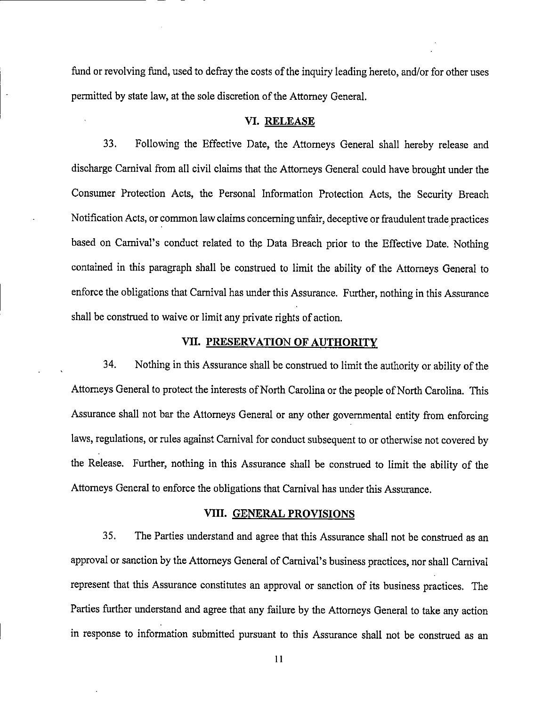fund or revolving fund, used to defray the costs of the inquiry leading hereto, and/or for other uses permitted by state law, at the sole discretion of the Attorney General.

#### VI. RELEASE

33. Following the Effective Date, the Attorneys General shall hereby release and discharge Carnival from all civil claims that the Attorneys General could have brought under the Consumer Protection Acts, the Personal Information Protection Acts, the Security Breach Notification Acts, or common law claims concerning unfair, deceptive or fraudulent trade practices based on Carnival's conduct related to the Data Breach prior to the Effective Date. Nothing contained in this paragraph shall be construed to limit the ability of the Attorneys General to enforce the obligations that Carnival has under this Assurance. Further, nothing in this Assurance shall be construed to waive or limit any private rights of action.

## VII. PRESERVATION OF AUTHORITY

34. Nothing in this Assurance shall be construed to limit the authority or ability of the Attorneys General to protect the interests of North Carolina or the people of North Carolina. This Assurance shall not bar the Attorneys General or any other governmental entity from enforcing laws, regulations, or rules against Carnival for conduct subsequent to or otherwise not covered by the Release. Further, nothing in this Assurance shall be construed to limit the ability of the Attorneys General to enforce the obligations that Carnival has under this Assurance.

#### VIII. GENERAL PROVISIONS

35. The Parties understand and agree that this Assurance shall not be construed as an approval or sanction by the Attorneys General of Carnival's business practices, nor shall Carnival represent that this Assurance constitutes an approval or sanction of its business practices. The Parties further understand and agree that any failure by the Attorneys General to take any action in response to information submitted pursuant to this Assurance shall not be construed as an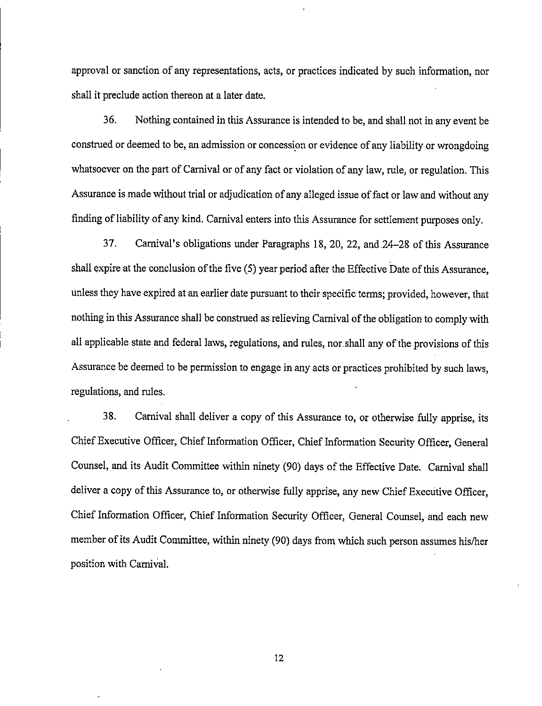approval or sanction of any representations, acts, or practices indicated by such information, nor shall it preclude action thereon at a later date.

36. Nothing contained in this Assurance is intended to be, and shall not in any event be construed or deemed to be, an admission or concession or evidence of any liabilityor wrongdoing whatsoever on the part of Carnival or of any fact or violation of any law, rule, or regulation. This Assurance is made without trial or adjudication of any alleged issue of fact or law and without any finding of liability of any kind. Carnival enters into this Assurance for settlement purposes only.

37. Carnival's obligations under Paragraphs 18, 20, 22, and-24-28 of this Assurance shall expire at the conclusion of the five (5) year period after the Effective Date of this Assurance, unless they have expired at an earlier date pursuant to their specific terms; provided, however, that nothing in this Assurance shall be construed as relieving Carnival of the obligation to comply with all applicable state and federal laws, regulations, and rules, nor shall any of the provisions of this Assurance be deemed to be permission to engage in any acts or practices prohibited by such laws, regulations, and rules.

38. Carnival shall deliver a copy of this Assurance to, or otherwise fully apprise, its Chief Executive Officer, Chief Information Officer, Chief Information Security Officer, General Counsel, and its Audit Committee within ninety (90) days of the Effective Date. Carnival shall deliver a copy of this Assurance to, or otherwise fully apprise, any new Chief Executive Officer, Chief Information Officer, Chief Information Security Officer, General Counsel, and each new member of its Audit Committee, within ninety (90) days from which such person assumes his/her position with Carnival.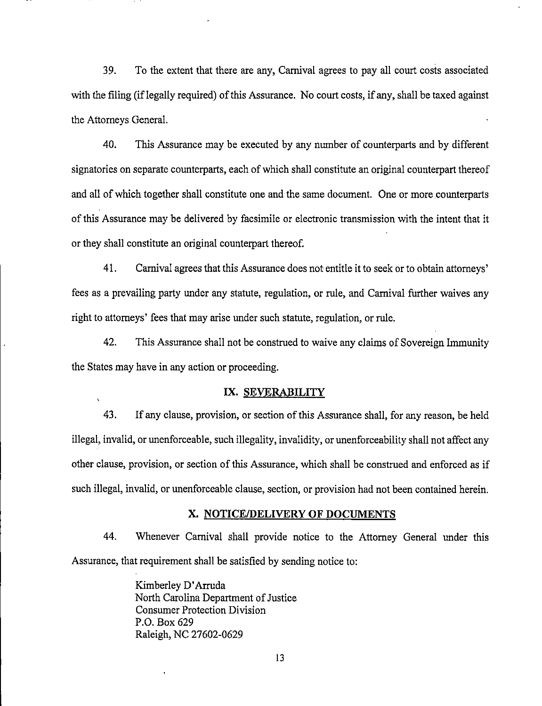39. To the extent that there are any, Carnival agrees to pay all court costs associated with the filing (if legally required) of this Assurance. No court costs, if any, shall be taxed against the Attorneys General.

40. This Assurance may be executed by any number of counterparts and by different signatories on separate counterparts, each of which shall constitute an original counterpart thereof and all of which together shall constitute one and the same document. One or more counterparts of this Assurance may be delivered by facsimile or electronic transmission with the intent that it or they shall constitute an original counterpart thereof.

41. Carnival agrees that this Assurance does not entitle it to seek or to obtain attorneys' fees as a prevailing party under any statute, regulation, or rule, and Carnival further waives any right to attorneys' fees that may arise under such statute, regulation, or rule.

42. This Assurance shall not be construed to waive any claims of Sovereign Immunity the States may have in any action or proceeding.

## IX. SEVERABILITY

43. If any clause, provision, or section of this Assurance shall, for any reason, be held illegal, invalid, or unenforceable, such illegality, invalidity, or unenforceability shall not affect any other clause, provision, or section of this Assurance, which shall be construed and enforced as if such illegal, invalid, or unenforceable clause, section, or provision had not been contained herein.

#### X. NOTICE/DELIVERY OF DOCUMENTS

44. Whenever Carnival shall provide notice to the Attorney General under this Assurance, that requirement shall be satisfied by sending notice to:

> Kimberley D'Arruda North Carolina Department of Justice Consumer Protection Division P.O. Box 629 Raleigh, NC 27602-0629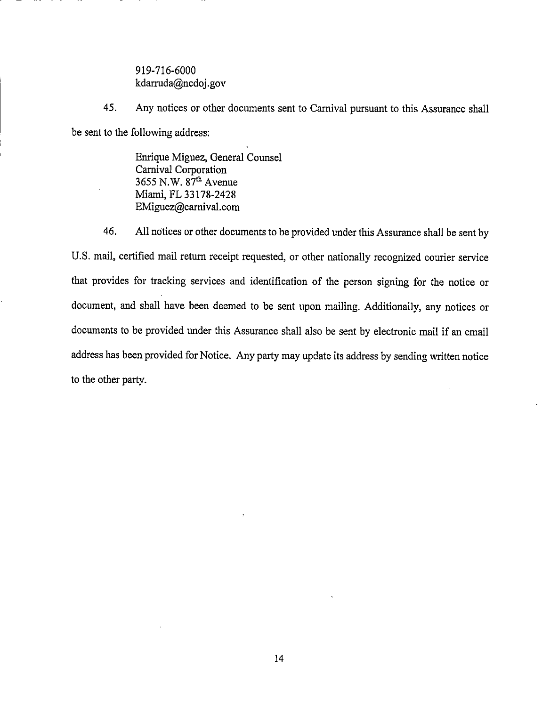919-716-6000 kdarruda@ncdoj.gov

45. Any notices or other documents sent to Carnival pursuant to this Assurance shall be sent to the following address:

> Enrique Miguez, General Counsel Carnival Corporation 3655 N.W. 87<sup>th</sup> Avenue Miami, FL 33178-2428 EMiguez@camival.com

46. All notices or other documents to be provided under this Assurance shall be sent by U.S. mail, certified mail retum receipt requested, or other nationally recognized courier service that provides for tracking services and identification of the person signing for the notice or document, and shall have been deemed to be sent upon mailing. Additionally, any notices or documents to be provided under this Assurance shall also be sent by electronic mail if an email address has been provided for Notice. Any party may update its address by sending written notice to the other party.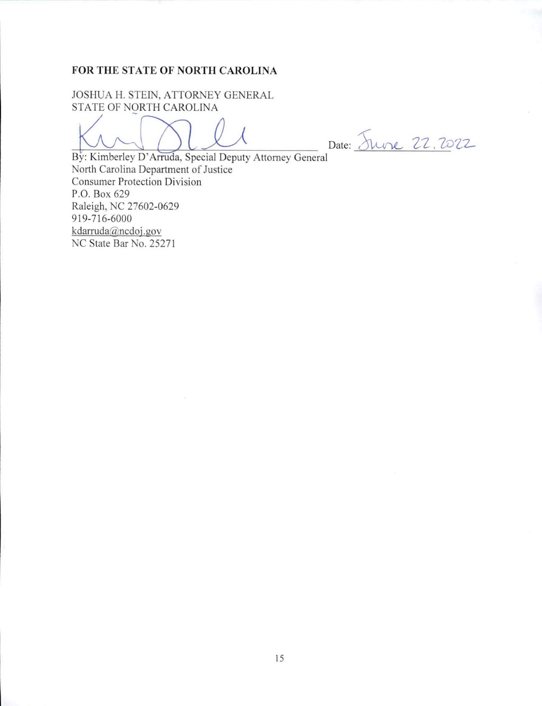## FOR THE STATE OF NORTH CAROLINA

JOSHUA H. STEIN, ATTORNEY GENERAL STATE OF NORTH CAROLINA

Date: Juine 22.2022

By: Kimberley D'Arruda, Special Deputy Attorney General North Carolina Department of Justice Consumer Protection Division P.O. Box 629 Raleigh, NC 27602-0629 919-716-6000 kdarruda@ncdoi.gov NC State Bar No. 25271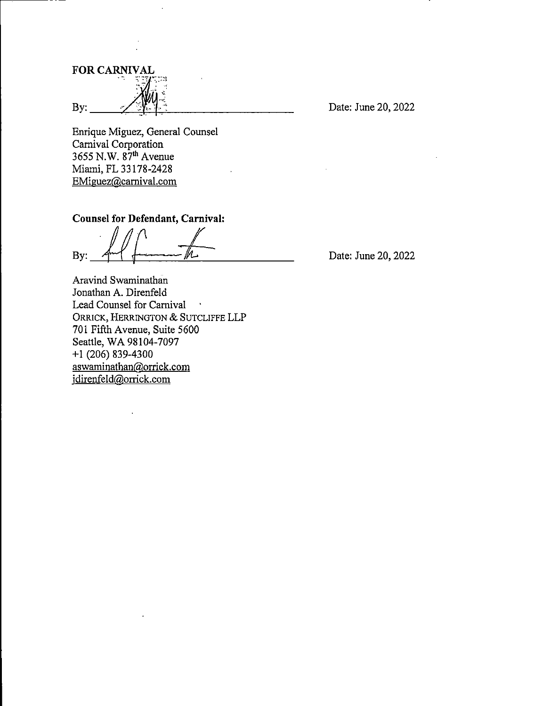FOR CARNIVAL By:  $\frac{X^2 + 4}{Y^2 + 4}$  Date: June 20, 2022

Enrique Miguez, General Counsel Carnival Corporation  $3655$  N.W.  $87<sup>th</sup>$  Avenue Miami, PL 33178-2428 EMiguez@camival.com

## Counsel for Defendant, Carnival:

By:

Date: June 20, 2022

Aravind Swaminathan Jonathan A. Direnfeld Lead Counsel for Carnival ORRICK, HERRINGTON & SUTCLIFFE LLP 701 Fifth Avenue, Suite 5600 Seattle, WA 98104-7097 +1 (206) 839-4300 aswaminathan@orrick.com idirenfeld@orrick.com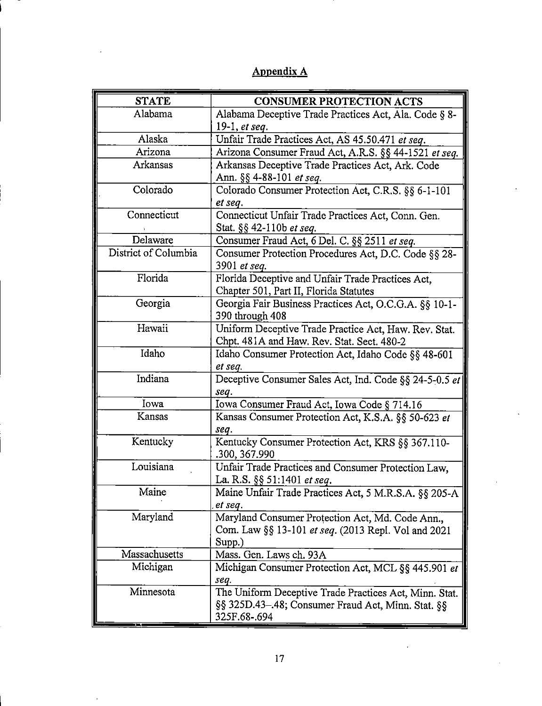| <b>STATE</b>         | <b>CONSUMER PROTECTION ACTS</b>                                                                                              |
|----------------------|------------------------------------------------------------------------------------------------------------------------------|
| Alabama              | Alabama Deceptive Trade Practices Act, Ala. Code § 8-                                                                        |
|                      | 19-1, <i>et seq.</i>                                                                                                         |
| Alaska               | Unfair Trade Practices Act, AS 45.50.471 et seq.                                                                             |
| Arizona              | Arizona Consumer Fraud Act, A.R.S. §§ 44-1521 et seq.                                                                        |
| Arkansas             | Arkansas Deceptive Trade Practices Act, Ark. Code                                                                            |
|                      | Ann. §§ 4-88-101 <i>et seq.</i>                                                                                              |
| Colorado             | Colorado Consumer Protection Act, C.R.S. §§ 6-1-101<br>et seq.                                                               |
| Connecticut          | Connecticut Unfair Trade Practices Act, Conn. Gen.                                                                           |
|                      | Stat. §§ 42-110b et seq.                                                                                                     |
| Delaware             | Consumer Fraud Act, 6 Del. C. §§ 2511 et seq.                                                                                |
| District of Columbia | Consumer Protection Procedures Act, D.C. Code §§ 28-<br>3901 et seq.                                                         |
| Florida              | Florida Deceptive and Unfair Trade Practices Act,<br>Chapter 501, Part II, Florida Statutes                                  |
| Georgia              | Georgia Fair Business Practices Act, O.C.G.A. §§ 10-1-<br>390 through 408                                                    |
| Hawaii               | Uniform Deceptive Trade Practice Act, Haw. Rev. Stat.                                                                        |
|                      | Chpt. 481A and Haw. Rev. Stat. Sect. 480-2                                                                                   |
| Idaho                | Idaho Consumer Protection Act, Idaho Code §§ 48-601                                                                          |
|                      | et seq.                                                                                                                      |
| Indiana              | Deceptive Consumer Sales Act, Ind. Code §§ 24-5-0.5 et                                                                       |
|                      | seq.                                                                                                                         |
| Iowa                 | Iowa Consumer Fraud Act, Iowa Code § 714.16                                                                                  |
| Kansas               | Kansas Consumer Protection Act, K.S.A. §§ 50-623 et<br>seq.                                                                  |
| Kentucky             | Kentucky Consumer Protection Act, KRS §§ 367.110-<br>.300, 367.990                                                           |
| Louisiana            | Unfair Trade Practices and Consumer Protection Law,<br>La. R.S. §§ 51:1401 et seq.                                           |
| Maine                | Maine Unfair Trade Practices Act, 5 M.R.S.A. §§ 205-A<br>et seq.                                                             |
| Maryland             | Maryland Consumer Protection Act, Md. Code Ann.,<br>Com. Law §§ 13-101 et seq. (2013 Repl. Vol and 2021<br>Supp.)            |
| Massachusetts        | Mass. Gen. Laws ch. 93A                                                                                                      |
| Michigan             | Michigan Consumer Protection Act, MCL §§ 445.901 et<br>seq.                                                                  |
| Minnesota            | The Uniform Deceptive Trade Practices Act, Minn. Stat.<br>§§ 325D.43-.48; Consumer Fraud Act, Minn. Stat. §§<br>325F.68-.694 |

# Appendix A

 $\hat{\mathbf{r}}$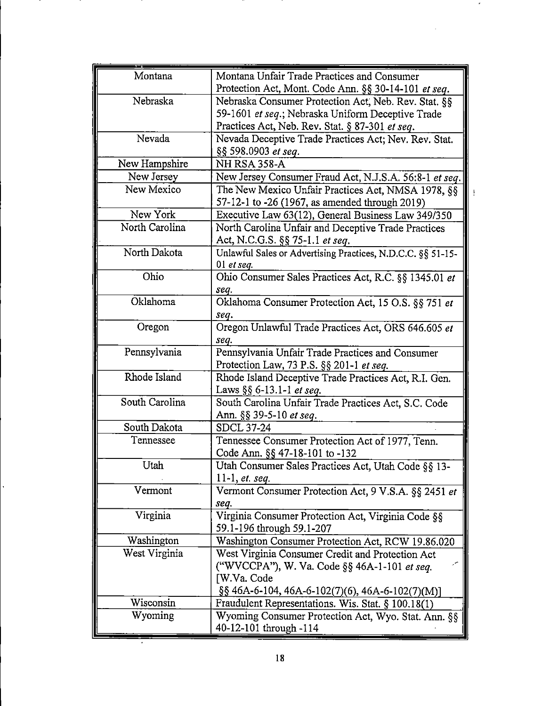| Montana        | Montana Unfair Trade Practices and Consumer                                                   |
|----------------|-----------------------------------------------------------------------------------------------|
|                | Protection Act, Mont. Code Ann. §§ 30-14-101 et seq.                                          |
| Nebraska       | Nebraska Consumer Protection Act, Neb. Rev. Stat. §§                                          |
|                | 59-1601 et seq.; Nebraska Uniform Deceptive Trade                                             |
|                | Practices Act, Neb. Rev. Stat. § 87-301 et seq.                                               |
| Nevada         | Nevada Deceptive Trade Practices Act; Nev. Rev. Stat.                                         |
|                | §§ 598.0903 et seq.                                                                           |
| New Hampshire  | NH RSA 358-A                                                                                  |
| New Jersey     | New Jersey Consumer Fraud Act, N.J.S.A. 56:8-1 et seq.                                        |
| New Mexico     | The New Mexico Unfair Practices Act, NMSA 1978, §§                                            |
|                | 57-12-1 to -26 (1967, as amended through 2019)                                                |
| New York       | Executive Law 63(12), General Business Law 349/350                                            |
| North Carolina | North Carolina Unfair and Deceptive Trade Practices                                           |
|                | Act, N.C.G.S. §§ 75-1.1 et seq.                                                               |
| North Dakota   | Unlawful Sales or Advertising Practices, N.D.C.C. §§ 51-15-                                   |
|                | 01 et seq.                                                                                    |
| Ohio           | Ohio Consumer Sales Practices Act, R.C. §§ 1345.01 et                                         |
|                | seq.                                                                                          |
| Oklahoma       | Oklahoma Consumer Protection Act, 15 O.S. §§ 751 et                                           |
|                | seq.                                                                                          |
| Oregon         | Oregon Unlawful Trade Practices Act, ORS 646.605 et                                           |
|                | seq.                                                                                          |
| Pennsylvania   | Pennsylvania Unfair Trade Practices and Consumer                                              |
| Rhode Island   | Protection Law, 73 P.S. §§ 201-1 et seq.                                                      |
|                | Rhode Island Deceptive Trade Practices Act, R.I. Gen.<br>Laws $\S\S 6$ -13.1-1 <i>et seq.</i> |
| South Carolina | South Carolina Unfair Trade Practices Act, S.C. Code                                          |
|                | Ann. §§ 39-5-10 et seq.                                                                       |
| South Dakota   | <b>SDCL 37-24</b>                                                                             |
| Tennessee      | Tennessee Consumer Protection Act of 1977, Tenn.                                              |
|                | Code Ann. §§ 47-18-101 to -132                                                                |
| Utah           | Utah Consumer Sales Practices Act, Utah Code §§ 13-                                           |
|                | 11-1, <i>et.</i> seq.                                                                         |
| Vermont        | Vermont Consumer Protection Act, 9 V.S.A. §§ 2451 et                                          |
|                | seq.                                                                                          |
| Virginia       | Virginia Consumer Protection Act, Virginia Code §§                                            |
|                | 59.1-196 through 59.1-207                                                                     |
| Washington     | Washington Consumer Protection Act, RCW 19.86.020                                             |
| West Virginia  | West Virginia Consumer Credit and Protection Act                                              |
|                | ("WVCCPA"), W. Va. Code §§ 46A-1-101 et seq.                                                  |
|                | [W.Va. Code                                                                                   |
|                | $\S$ § 46A-6-104, 46A-6-102(7)(6), 46A-6-102(7)(M)]                                           |
| Wisconsin      | Fraudulent Representations. Wis. Stat. § 100.18(1)                                            |
| Wyoming        | Wyoming Consumer Protection Act, Wyo. Stat. Ann. §§                                           |
|                | 40-12-101 through -114                                                                        |

 $\overline{\phantom{a}}$ 

 $\frac{1}{2}$ 

÷,

 $\overline{\phantom{a}}$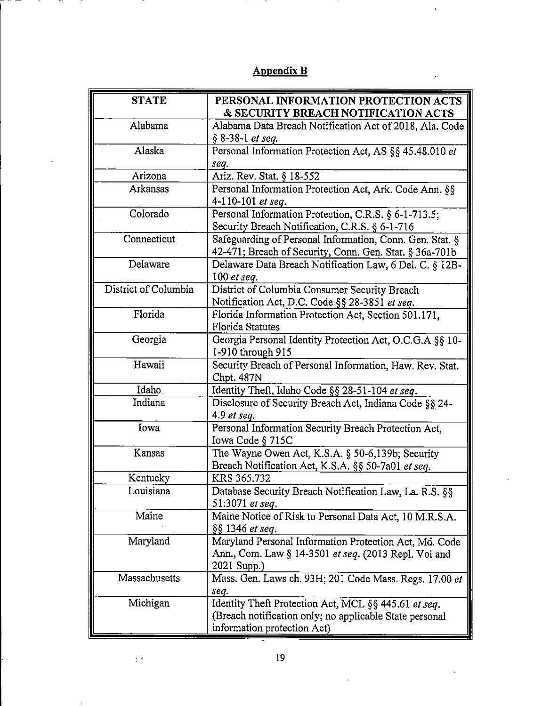| Alabama<br>§ 8-38-1 et seq.<br>Alaska<br>seq.<br>Ariz. Rev. Stat. § 18-552<br>Arizona<br>Arkansas<br>4-110-101 et seq.<br>Colorado<br>Connecticut<br>Delaware<br>100 $et$ seq.<br>District of Columbia<br>Florida<br><b>Florida Statutes</b><br>Georgia<br>1-910 through 915<br>Hawaii<br>Chpt. 487N<br>Idaho.<br>Indiana<br>4.9 et seq.<br>Iowa<br>Iowa Code § 715C<br>Kansas<br>Kentucky<br>KRS 365.732<br>Louisiana<br>51:3071 et seq.<br>Maine<br>§§ 1346 et seq.<br>Maryland<br>2021 Supp.)<br>Massachusetts<br>seq.<br>Michigan | PERSONAL INFORMATION PROTECTION ACTS                     |
|---------------------------------------------------------------------------------------------------------------------------------------------------------------------------------------------------------------------------------------------------------------------------------------------------------------------------------------------------------------------------------------------------------------------------------------------------------------------------------------------------------------------------------------|----------------------------------------------------------|
|                                                                                                                                                                                                                                                                                                                                                                                                                                                                                                                                       | & SECURITY BREACH NOTIFICATION ACTS                      |
|                                                                                                                                                                                                                                                                                                                                                                                                                                                                                                                                       | Alabama Data Breach Notification Act of 2018, Ala. Code  |
|                                                                                                                                                                                                                                                                                                                                                                                                                                                                                                                                       |                                                          |
|                                                                                                                                                                                                                                                                                                                                                                                                                                                                                                                                       | Personal Information Protection Act, AS §§ 45.48.010 et  |
|                                                                                                                                                                                                                                                                                                                                                                                                                                                                                                                                       |                                                          |
|                                                                                                                                                                                                                                                                                                                                                                                                                                                                                                                                       |                                                          |
|                                                                                                                                                                                                                                                                                                                                                                                                                                                                                                                                       | Personal Information Protection Act, Ark. Code Ann. §§   |
|                                                                                                                                                                                                                                                                                                                                                                                                                                                                                                                                       |                                                          |
|                                                                                                                                                                                                                                                                                                                                                                                                                                                                                                                                       | Personal Information Protection, C.R.S. § 6-1-713.5;     |
|                                                                                                                                                                                                                                                                                                                                                                                                                                                                                                                                       | Security Breach Notification, C.R.S. § 6-1-716           |
|                                                                                                                                                                                                                                                                                                                                                                                                                                                                                                                                       | Safeguarding of Personal Information, Conn. Gen. Stat. § |
|                                                                                                                                                                                                                                                                                                                                                                                                                                                                                                                                       | 42-471; Breach of Security, Conn. Gen. Stat. § 36a-701b  |
|                                                                                                                                                                                                                                                                                                                                                                                                                                                                                                                                       | Delaware Data Breach Notification Law, 6 Del. C. § 12B-  |
|                                                                                                                                                                                                                                                                                                                                                                                                                                                                                                                                       |                                                          |
|                                                                                                                                                                                                                                                                                                                                                                                                                                                                                                                                       | District of Columbia Consumer Security Breach            |
|                                                                                                                                                                                                                                                                                                                                                                                                                                                                                                                                       | Notification Act, D.C. Code §§ 28-3851 et seq.           |
|                                                                                                                                                                                                                                                                                                                                                                                                                                                                                                                                       | Florida Information Protection Act, Section 501.171,     |
|                                                                                                                                                                                                                                                                                                                                                                                                                                                                                                                                       |                                                          |
|                                                                                                                                                                                                                                                                                                                                                                                                                                                                                                                                       | Georgia Personal Identity Protection Act, O.C.G.A §§ 10- |
|                                                                                                                                                                                                                                                                                                                                                                                                                                                                                                                                       |                                                          |
|                                                                                                                                                                                                                                                                                                                                                                                                                                                                                                                                       | Security Breach of Personal Information, Haw. Rev. Stat. |
|                                                                                                                                                                                                                                                                                                                                                                                                                                                                                                                                       |                                                          |
|                                                                                                                                                                                                                                                                                                                                                                                                                                                                                                                                       | Identity Theft, Idaho Code §§ 28-51-104 et seq.          |
|                                                                                                                                                                                                                                                                                                                                                                                                                                                                                                                                       | Disclosure of Security Breach Act, Indiana Code §§ 24-   |
|                                                                                                                                                                                                                                                                                                                                                                                                                                                                                                                                       |                                                          |
|                                                                                                                                                                                                                                                                                                                                                                                                                                                                                                                                       | Personal Information Security Breach Protection Act,     |
|                                                                                                                                                                                                                                                                                                                                                                                                                                                                                                                                       |                                                          |
|                                                                                                                                                                                                                                                                                                                                                                                                                                                                                                                                       | The Wayne Owen Act, K.S.A. § 50-6,139b; Security         |
|                                                                                                                                                                                                                                                                                                                                                                                                                                                                                                                                       | Breach Notification Act, K.S.A. §§ 50-7a01 et seq.       |
|                                                                                                                                                                                                                                                                                                                                                                                                                                                                                                                                       |                                                          |
|                                                                                                                                                                                                                                                                                                                                                                                                                                                                                                                                       | Database Security Breach Notification Law, La. R.S. §§   |
|                                                                                                                                                                                                                                                                                                                                                                                                                                                                                                                                       |                                                          |
|                                                                                                                                                                                                                                                                                                                                                                                                                                                                                                                                       | Maine Notice of Risk to Personal Data Act, 10 M.R.S.A.   |
|                                                                                                                                                                                                                                                                                                                                                                                                                                                                                                                                       |                                                          |
|                                                                                                                                                                                                                                                                                                                                                                                                                                                                                                                                       | Maryland Personal Information Protection Act, Md. Code   |
|                                                                                                                                                                                                                                                                                                                                                                                                                                                                                                                                       | Ann., Com. Law § 14-3501 et seq. (2013 Repl. Vol and     |
|                                                                                                                                                                                                                                                                                                                                                                                                                                                                                                                                       | Mass. Gen. Laws ch. 93H; 201 Code Mass. Regs. 17.00 et   |
|                                                                                                                                                                                                                                                                                                                                                                                                                                                                                                                                       |                                                          |
|                                                                                                                                                                                                                                                                                                                                                                                                                                                                                                                                       |                                                          |
|                                                                                                                                                                                                                                                                                                                                                                                                                                                                                                                                       | (Breach notification only; no applicable State personal  |
| information protection Act)                                                                                                                                                                                                                                                                                                                                                                                                                                                                                                           |                                                          |
|                                                                                                                                                                                                                                                                                                                                                                                                                                                                                                                                       | Identity Theft Protection Act, MCL §§ 445.61 et seq.     |

# Appendix B

 $\ddot{\phantom{a}}$ 

 $\mathbf{v}$ 

 $\pm$   $\pm$ 

 $\sim$